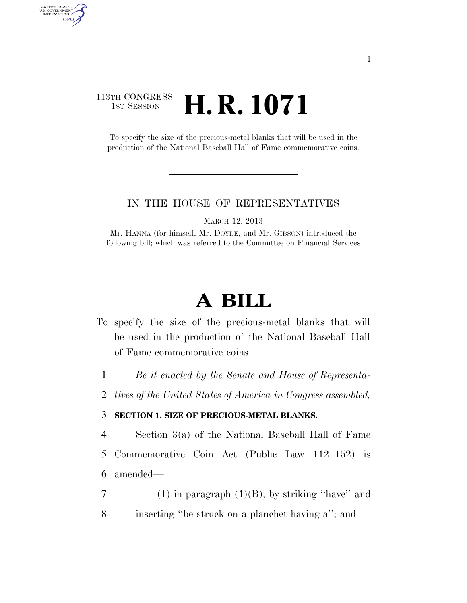## 113TH CONGRESS **1st Session H. R. 1071**

AUTHENTICATED<br>U.S. GOVERNMENT<br>INFORMATION GPO

> To specify the size of the precious-metal blanks that will be used in the production of the National Baseball Hall of Fame commemorative coins.

## IN THE HOUSE OF REPRESENTATIVES

MARCH 12, 2013

Mr. HANNA (for himself, Mr. DOYLE, and Mr. GIBSON) introduced the following bill; which was referred to the Committee on Financial Services

## **A BILL**

- To specify the size of the precious-metal blanks that will be used in the production of the National Baseball Hall of Fame commemorative coins.
	- 1 *Be it enacted by the Senate and House of Representa-*
	- 2 *tives of the United States of America in Congress assembled,*

## 3 **SECTION 1. SIZE OF PRECIOUS-METAL BLANKS.**

- 4 Section 3(a) of the National Baseball Hall of Fame 5 Commemorative Coin Act (Public Law 112–152) is 6 amended—
- 7 (1) in paragraph  $(1)(B)$ , by striking "have" and
- 8 inserting ''be struck on a planchet having a''; and